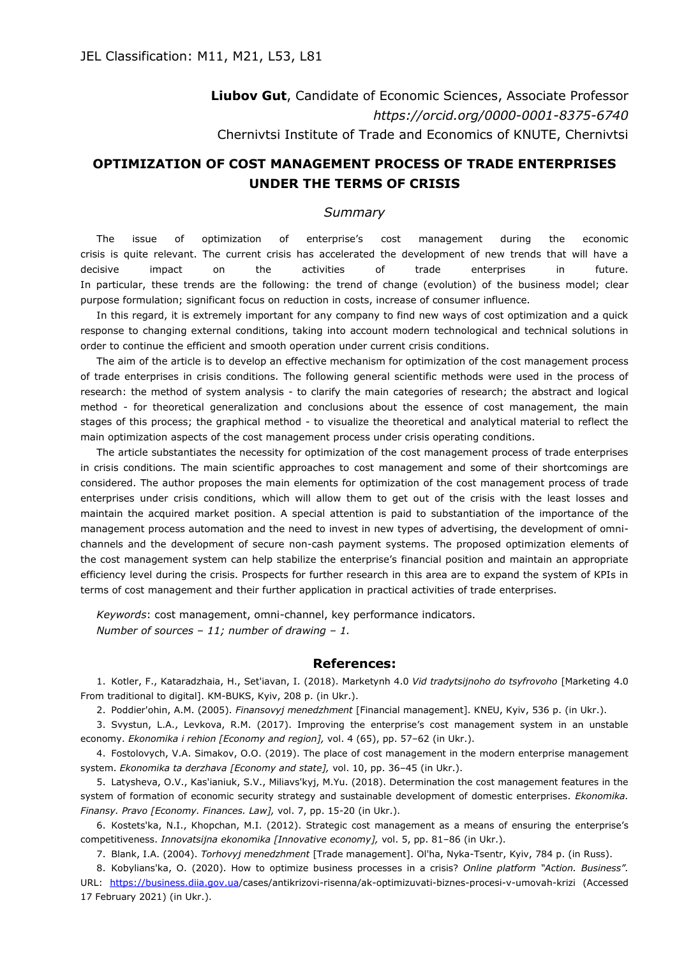**Liubov Gut**, Candidate of Economic Sciences, Associate Professor *https://orcid.org/0000-0001-8375-6740* Chernivtsi Institute of Trade and Economics of KNUTE, Chernivtsi

## **OPTIMIZATION OF COST MANAGEMENT PROCESS OF TRADE ENTERPRISES UNDER THE TERMS OF CRISIS**

## *Summary*

The issue of optimization of enterprise's cost management during the economic crisis is quite relevant. The current crisis has accelerated the development of new trends that will have a decisive impact on the activities of trade enterprises in future. In particular, these trends are the following: the trend of change (evolution) of the business model; clear purpose formulation; significant focus on reduction in costs, increase of consumer influence.

In this regard, it is extremely important for any company to find new ways of cost optimization and a quick response to changing external conditions, taking into account modern technological and technical solutions in order to continue the efficient and smooth operation under current crisis conditions.

The aim of the article is to develop an effective mechanism for optimization of the cost management process of trade enterprises in crisis conditions. The following general scientific methods were used in the process of research: the method of system analysis - to clarify the main categories of research; the abstract and logical method - for theoretical generalization and conclusions about the essence of cost management, the main stages of this process; the graphical method - to visualize the theoretical and analytical material to reflect the main optimization aspects of the cost management process under crisis operating conditions.

The article substantiates the necessity for optimization of the cost management process of trade enterprises in crisis conditions. The main scientific approaches to cost management and some of their shortcomings are considered. The author proposes the main elements for optimization of the cost management process of trade enterprises under crisis conditions, which will allow them to get out of the crisis with the least losses and maintain the acquired market position. A special attention is paid to substantiation of the importance of the management process automation and the need to invest in new types of advertising, the development of omnichannels and the development of secure non-cash payment systems. The proposed optimization elements of the cost management system can help stabilize the enterprise's financial position and maintain an appropriate efficiency level during the crisis. Prospects for further research in this area are to expand the system of KPIs in terms of cost management and their further application in practical activities of trade enterprises.

*Keywords*: cost management, omni-channel, key performance indicators. *Number of sources – 11; number of drawing – 1.*

## **References:**

1. Kotler, F., Kataradzhaia, H., Set'iavan, I. (2018). Marketynh 4.0 *Vid tradytsijnoho do tsyfrovoho* [Marketing 4.0 From traditional to digital]. KM-BUKS, Kyiv, 208 p. (in Ukr.).

2. Poddier'ohin, A.M. (2005). *Finansovyj menedzhment* [Financial management]. KNEU, Kyiv, 536 p. (in Ukr.).

3. Svystun, L.A., Levkova, R.M. (2017). Improving the enterprise's cost management system in an unstable economy. *Ekonomika i rehion [Economy and region],* vol. 4 (65), pp. 57–62 (in Ukr.).

4. Fostolovych, V.A. Simakov, O.O. (2019). The place of cost management in the modern enterprise management system. *Ekonomika ta derzhava [Economy and state],* vol. 10, pp. 36–45 (in Ukr.).

5. Latysheva, O.V., Kas'ianiuk, S.V., Miliavs'kyj, M.Yu. (2018). Determination the cost management features in the system of formation of economic security strategy and sustainable development of domestic enterprises. *Ekonomika. Finansy. Pravo [Economy. Finances. Law],* vol. 7, pp. 15-20 (in Ukr.).

6. Kostets'ka, N.I., Khopchan, M.I. (2012). Strategic cost management as a means of ensuring the enterprise's competitiveness. *Innovatsijna ekonomika [Innovative economy],* vol. 5, pp. 81–86 (in Ukr.).

7. Blank, I.A. (2004). *Torhovyj menedzhment* [Trade management]. Ol'ha, Nyka-Tsentr, Kyiv, 784 p. (in Russ).

8. Kobylians'ka, O. (2020). How to optimize business processes in a crisis? *Online platform "Action. Business".* URL: <https://business.diia.gov.ua/>cases/antikrizovi-risenna/ak-optimizuvati-biznes-procesi-v-umovah-krizi (Accessed 17 February 2021) (in Ukr.).